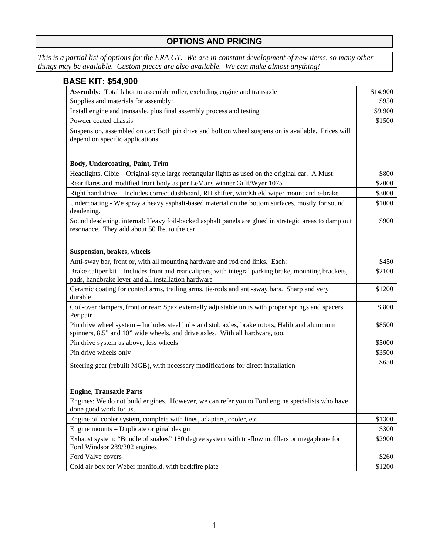## **OPTIONS AND PRICING**

*This is a partial list of options for the ERA GT. We are in constant development of new items, so many other things may be available. Custom pieces are also available. We can make almost anything!* 

| <b>BASE KIT: \$54,900</b>                                                                                                                                                     |          |
|-------------------------------------------------------------------------------------------------------------------------------------------------------------------------------|----------|
| Assembly: Total labor to assemble roller, excluding engine and transaxle                                                                                                      | \$14,900 |
| Supplies and materials for assembly:                                                                                                                                          | \$950    |
| Install engine and transaxle, plus final assembly process and testing                                                                                                         | \$9,900  |
| Powder coated chassis                                                                                                                                                         | \$1500   |
| Suspension, assembled on car: Both pin drive and bolt on wheel suspension is available. Prices will<br>depend on specific applications.                                       |          |
| Body, Undercoating, Paint, Trim                                                                                                                                               |          |
| Headlights, Cibie – Original-style large rectangular lights as used on the original car. A Must!                                                                              | \$800    |
| Rear flares and modified front body as per LeMans winner Gulf/Wyer 1075                                                                                                       | \$2000   |
| Right hand drive - Includes correct dashboard, RH shifter, windshield wiper mount and e-brake                                                                                 | \$3000   |
| Undercoating - We spray a heavy asphalt-based material on the bottom surfaces, mostly for sound<br>deadening.                                                                 | \$1000   |
| Sound deadening, internal: Heavy foil-backed asphalt panels are glued in strategic areas to damp out<br>resonance. They add about 50 lbs. to the car                          | \$900    |
| Suspension, brakes, wheels                                                                                                                                                    |          |
| Anti-sway bar, front or, with all mounting hardware and rod end links. Each:                                                                                                  | \$450    |
| Brake caliper kit – Includes front and rear calipers, with integral parking brake, mounting brackets,<br>pads, handbrake lever and all installation hardware                  | \$2100   |
| Ceramic coating for control arms, trailing arms, tie-rods and anti-sway bars. Sharp and very<br>durable.                                                                      | \$1200   |
| Coil-over dampers, front or rear: Spax externally adjustable units with proper springs and spacers.<br>Per pair                                                               | \$800    |
| Pin drive wheel system - Includes steel hubs and stub axles, brake rotors, Halibrand aluminum<br>spinners, 8.5" and 10" wide wheels, and drive axles. With all hardware, too. | \$8500   |
| Pin drive system as above, less wheels                                                                                                                                        | \$5000   |
| Pin drive wheels only                                                                                                                                                         | \$3500   |
| Steering gear (rebuilt MGB), with necessary modifications for direct installation                                                                                             | \$650    |
| <b>Engine, Transaxle Parts</b>                                                                                                                                                |          |
| Engines: We do not build engines. However, we can refer you to Ford engine specialists who have<br>done good work for us.                                                     |          |
| Engine oil cooler system, complete with lines, adapters, cooler, etc                                                                                                          | \$1300   |
| Engine mounts – Duplicate original design                                                                                                                                     | \$300    |
| Exhaust system: "Bundle of snakes" 180 degree system with tri-flow mufflers or megaphone for<br>Ford Windsor 289/302 engines                                                  | \$2900   |
| Ford Valve covers                                                                                                                                                             | \$260    |
| Cold air box for Weber manifold, with backfire plate                                                                                                                          | \$1200   |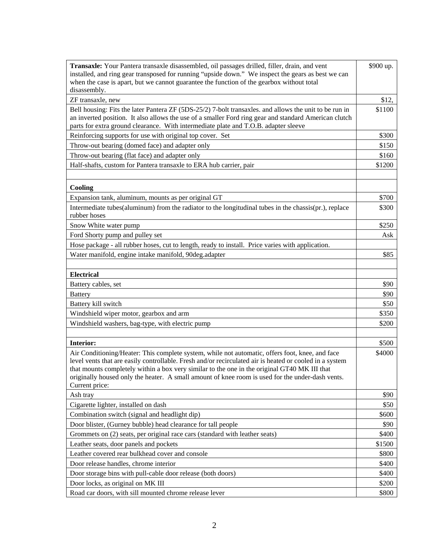| Transaxle: Your Pantera transaxle disassembled, oil passages drilled, filler, drain, and vent<br>installed, and ring gear transposed for running "upside down." We inspect the gears as best we can<br>when the case is apart, but we cannot guarantee the function of the gearbox without total<br>disassembly.                                                                                                                 | \$900 up. |
|----------------------------------------------------------------------------------------------------------------------------------------------------------------------------------------------------------------------------------------------------------------------------------------------------------------------------------------------------------------------------------------------------------------------------------|-----------|
| ZF transaxle, new                                                                                                                                                                                                                                                                                                                                                                                                                | \$12,     |
| Bell housing: Fits the later Pantera ZF (5DS-25/2) 7-bolt transaxles. and allows the unit to be run in<br>an inverted position. It also allows the use of a smaller Ford ring gear and standard American clutch<br>parts for extra ground clearance. With intermediate plate and T.O.B. adapter sleeve                                                                                                                           | \$1100    |
| Reinforcing supports for use with original top cover. Set                                                                                                                                                                                                                                                                                                                                                                        | \$300     |
| Throw-out bearing (domed face) and adapter only                                                                                                                                                                                                                                                                                                                                                                                  | \$150     |
| Throw-out bearing (flat face) and adapter only                                                                                                                                                                                                                                                                                                                                                                                   | \$160     |
| Half-shafts, custom for Pantera transaxle to ERA hub carrier, pair                                                                                                                                                                                                                                                                                                                                                               | \$1200    |
|                                                                                                                                                                                                                                                                                                                                                                                                                                  |           |
| Cooling                                                                                                                                                                                                                                                                                                                                                                                                                          |           |
| Expansion tank, aluminum, mounts as per original GT                                                                                                                                                                                                                                                                                                                                                                              | \$700     |
| Intermediate tubes(aluminum) from the radiator to the longitudinal tubes in the chassis(pr.), replace<br>rubber hoses                                                                                                                                                                                                                                                                                                            | \$300     |
| Snow White water pump                                                                                                                                                                                                                                                                                                                                                                                                            | \$250     |
| Ford Shorty pump and pulley set                                                                                                                                                                                                                                                                                                                                                                                                  | Ask       |
| Hose package - all rubber hoses, cut to length, ready to install. Price varies with application.                                                                                                                                                                                                                                                                                                                                 |           |
| Water manifold, engine intake manifold, 90deg.adapter                                                                                                                                                                                                                                                                                                                                                                            | \$85      |
|                                                                                                                                                                                                                                                                                                                                                                                                                                  |           |
| <b>Electrical</b>                                                                                                                                                                                                                                                                                                                                                                                                                |           |
| Battery cables, set                                                                                                                                                                                                                                                                                                                                                                                                              | \$90      |
| <b>Battery</b>                                                                                                                                                                                                                                                                                                                                                                                                                   | \$90      |
| Battery kill switch                                                                                                                                                                                                                                                                                                                                                                                                              | \$50      |
| Windshield wiper motor, gearbox and arm                                                                                                                                                                                                                                                                                                                                                                                          | \$350     |
| Windshield washers, bag-type, with electric pump                                                                                                                                                                                                                                                                                                                                                                                 | \$200     |
|                                                                                                                                                                                                                                                                                                                                                                                                                                  |           |
| <b>Interior:</b>                                                                                                                                                                                                                                                                                                                                                                                                                 | \$500     |
| Air Conditioning/Heater: This complete system, while not automatic, offers foot, knee, and face<br>level vents that are easily controllable. Fresh and/or recirculated air is heated or cooled in a system<br>that mounts completely within a box very similar to the one in the original GT40 MK III that<br>originally housed only the heater. A small amount of knee room is used for the under-dash vents.<br>Current price: | \$4000    |
| Ash tray                                                                                                                                                                                                                                                                                                                                                                                                                         | \$90      |
| Cigarette lighter, installed on dash                                                                                                                                                                                                                                                                                                                                                                                             | \$50      |
| Combination switch (signal and headlight dip)                                                                                                                                                                                                                                                                                                                                                                                    | \$600     |
| Door blister, (Gurney bubble) head clearance for tall people                                                                                                                                                                                                                                                                                                                                                                     | \$90      |
| Grommets on (2) seats, per original race cars (standard with leather seats)                                                                                                                                                                                                                                                                                                                                                      | \$400     |
| Leather seats, door panels and pockets                                                                                                                                                                                                                                                                                                                                                                                           | \$1500    |
| Leather covered rear bulkhead cover and console                                                                                                                                                                                                                                                                                                                                                                                  | \$800     |
| Door release handles, chrome interior                                                                                                                                                                                                                                                                                                                                                                                            | \$400     |
| Door storage bins with pull-cable door release (both doors)                                                                                                                                                                                                                                                                                                                                                                      | \$400     |
| Door locks, as original on MK III                                                                                                                                                                                                                                                                                                                                                                                                | \$200     |
| Road car doors, with sill mounted chrome release lever                                                                                                                                                                                                                                                                                                                                                                           | \$800     |